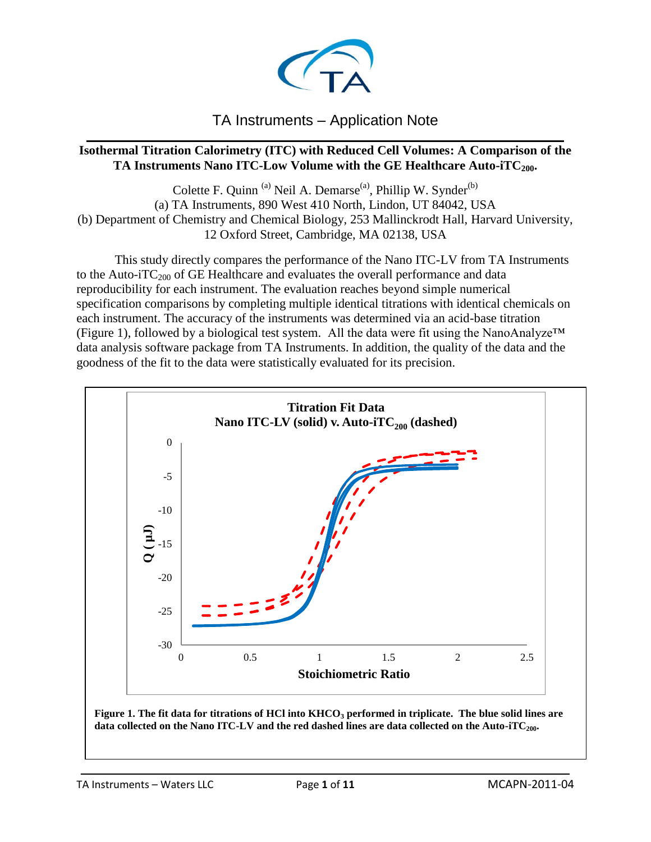

#### **Isothermal Titration Calorimetry (ITC) with Reduced Cell Volumes: A Comparison of the TA Instruments Nano ITC-Low Volume with the GE Healthcare Auto-iTC200.**

Colette F. Quinn<sup>(a)</sup> Neil A. Demarse<sup>(a)</sup>, Phillip W. Synder<sup>(b)</sup> (a) TA Instruments, 890 West 410 North, Lindon, UT 84042, USA (b) Department of Chemistry and Chemical Biology, 253 Mallinckrodt Hall, Harvard University, 12 Oxford Street, Cambridge, MA 02138, USA

This study directly compares the performance of the Nano ITC-LV from TA Instruments to the Auto-i $TC_{200}$  of GE Healthcare and evaluates the overall performance and data reproducibility for each instrument. The evaluation reaches beyond simple numerical specification comparisons by completing multiple identical titrations with identical chemicals on each instrument. The accuracy of the instruments was determined via an acid-base titration (Figure 1), followed by a biological test system. All the data were fit using the NanoAnalyze™ data analysis software package from TA Instruments. In addition, the quality of the data and the goodness of the fit to the data were statistically evaluated for its precision.



**Figure 1. The fit data for titrations of HCl into KHCO<sup>3</sup> performed in triplicate. The blue solid lines are data collected on the Nano ITC-LV and the red dashed lines are data collected on the Auto-iTC200.**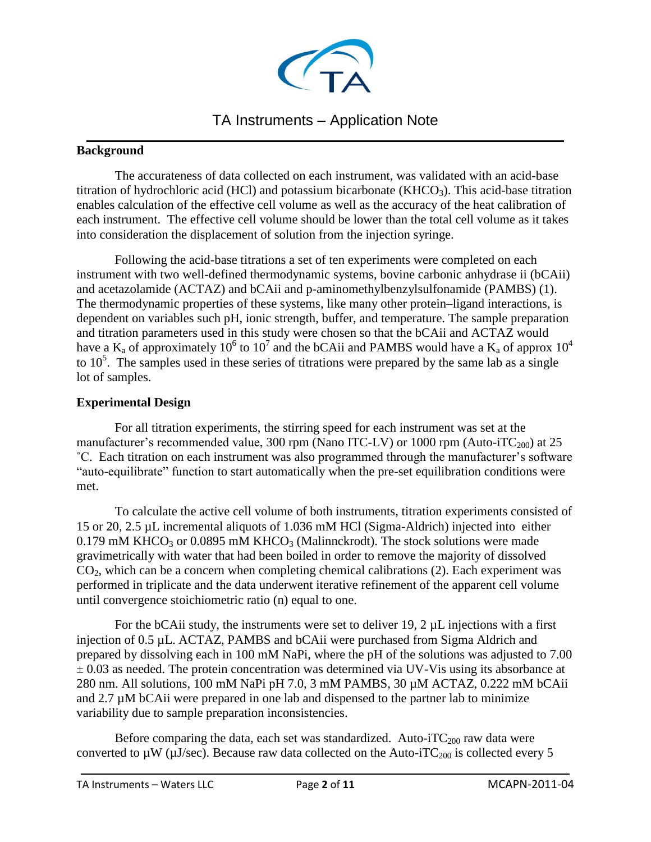

#### **Background**

The accurateness of data collected on each instrument, was validated with an acid-base titration of hydrochloric acid (HCl) and potassium bicarbonate ( $KHCO<sub>3</sub>$ ). This acid-base titration enables calculation of the effective cell volume as well as the accuracy of the heat calibration of each instrument. The effective cell volume should be lower than the total cell volume as it takes into consideration the displacement of solution from the injection syringe.

Following the acid-base titrations a set of ten experiments were completed on each instrument with two well-defined thermodynamic systems, bovine carbonic anhydrase ii (bCAii) and acetazolamide (ACTAZ) and bCAii and p-aminomethylbenzylsulfonamide (PAMBS) (1). The thermodynamic properties of these systems, like many other protein–ligand interactions, is dependent on variables such pH, ionic strength, buffer, and temperature. The sample preparation and titration parameters used in this study were chosen so that the bCAii and ACTAZ would have a  $K_a$  of approximately 10<sup>6</sup> to 10<sup>7</sup> and the bCAii and PAMBS would have a  $K_a$  of approx 10<sup>4</sup> to  $10<sup>5</sup>$ . The samples used in these series of titrations were prepared by the same lab as a single lot of samples.

#### **Experimental Design**

For all titration experiments, the stirring speed for each instrument was set at the manufacturer's recommended value, 300 rpm (Nano ITC-LV) or 1000 rpm (Auto-iTC<sub>200</sub>) at 25 ˚C. Each titration on each instrument was also programmed through the manufacturer's software "auto-equilibrate" function to start automatically when the pre-set equilibration conditions were met.

To calculate the active cell volume of both instruments, titration experiments consisted of 15 or 20, 2.5 µL incremental aliquots of 1.036 mM HCl (Sigma-Aldrich) injected into either  $0.179$  mM KHCO<sub>3</sub> or  $0.0895$  mM KHCO<sub>3</sub> (Malinnckrodt). The stock solutions were made gravimetrically with water that had been boiled in order to remove the majority of dissolved  $CO<sub>2</sub>$ , which can be a concern when completing chemical calibrations (2). Each experiment was performed in triplicate and the data underwent iterative refinement of the apparent cell volume until convergence stoichiometric ratio (n) equal to one.

For the bCAii study, the instruments were set to deliver 19, 2  $\mu$ L injections with a first injection of 0.5 µL. ACTAZ, PAMBS and bCAii were purchased from Sigma Aldrich and prepared by dissolving each in 100 mM NaPi, where the pH of the solutions was adjusted to 7.00  $\pm$  0.03 as needed. The protein concentration was determined via UV-Vis using its absorbance at 280 nm. All solutions, 100 mM NaPi pH 7.0, 3 mM PAMBS, 30 µM ACTAZ, 0.222 mM bCAii and 2.7 µM bCAii were prepared in one lab and dispensed to the partner lab to minimize variability due to sample preparation inconsistencies.

Before comparing the data, each set was standardized. Auto-i $TC_{200}$  raw data were converted to  $\mu$ W ( $\mu$ J/sec). Because raw data collected on the Auto-iTC<sub>200</sub> is collected every 5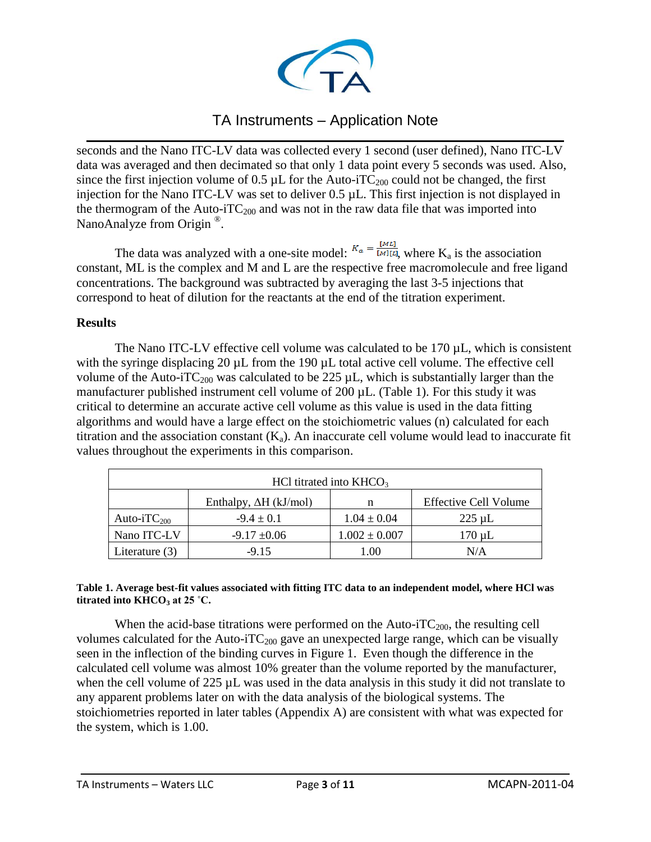

seconds and the Nano ITC-LV data was collected every 1 second (user defined), Nano ITC-LV data was averaged and then decimated so that only 1 data point every 5 seconds was used. Also, since the first injection volume of 0.5  $\mu$ L for the Auto-iTC<sub>200</sub> could not be changed, the first injection for the Nano ITC-LV was set to deliver 0.5 µL. This first injection is not displayed in the thermogram of the Auto-iTC<sub>200</sub> and was not in the raw data file that was imported into NanoAnalyze from Origin<sup>®</sup>.

The data was analyzed with a one-site model:  $K_a = \frac{[M_L]}{[M][L]}$ , where K<sub>a</sub> is the association constant, ML is the complex and M and L are the respective free macromolecule and free ligand concentrations. The background was subtracted by averaging the last 3-5 injections that correspond to heat of dilution for the reactants at the end of the titration experiment.

#### **Results**

The Nano ITC-LV effective cell volume was calculated to be 170 µL, which is consistent with the syringe displacing 20  $\mu$ L from the 190  $\mu$ L total active cell volume. The effective cell volume of the Auto-iTC<sub>200</sub> was calculated to be 225  $\mu$ L, which is substantially larger than the manufacturer published instrument cell volume of 200 µL. (Table 1). For this study it was critical to determine an accurate active cell volume as this value is used in the data fitting algorithms and would have a large effect on the stoichiometric values (n) calculated for each titration and the association constant  $(K_a)$ . An inaccurate cell volume would lead to inaccurate fit values throughout the experiments in this comparison.

| HCl titrated into $KHCO3$                              |                  |                   |             |  |  |  |  |
|--------------------------------------------------------|------------------|-------------------|-------------|--|--|--|--|
| Enthalpy, $\Delta H$ (kJ/mol)<br>Effective Cell Volume |                  |                   |             |  |  |  |  |
| Auto-iT $C_{200}$                                      | $-9.4 \pm 0.1$   | $1.04 \pm 0.04$   | $225 \mu L$ |  |  |  |  |
| Nano ITC-LV                                            | $-9.17 \pm 0.06$ | $1.002 \pm 0.007$ | $170 \mu L$ |  |  |  |  |
| Literature $(3)$                                       | $-9.15$          | .00               | N/A         |  |  |  |  |

#### **Table 1. Average best-fit values associated with fitting ITC data to an independent model, where HCl was titrated into KHCO<sup>3</sup> at 25 ˚C.**

When the acid-base titrations were performed on the Auto-i $TC_{200}$ , the resulting cell volumes calculated for the Auto-iTC<sub>200</sub> gave an unexpected large range, which can be visually seen in the inflection of the binding curves in Figure 1. Even though the difference in the calculated cell volume was almost 10% greater than the volume reported by the manufacturer, when the cell volume of 225  $\mu$ L was used in the data analysis in this study it did not translate to any apparent problems later on with the data analysis of the biological systems. The stoichiometries reported in later tables (Appendix A) are consistent with what was expected for the system, which is 1.00.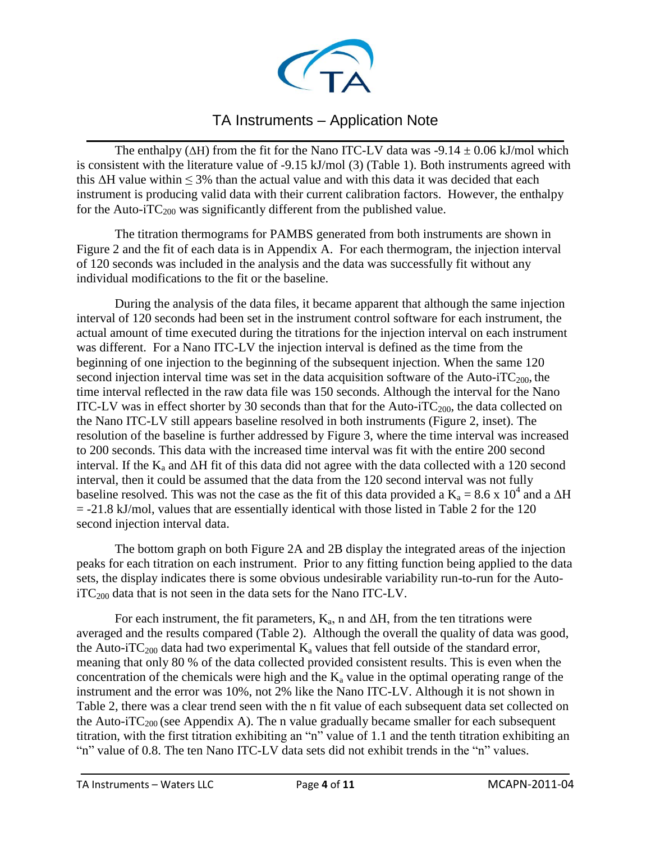

The enthalpy ( $\Delta H$ ) from the fit for the Nano ITC-LV data was -9.14  $\pm$  0.06 kJ/mol which is consistent with the literature value of -9.15 kJ/mol (3) (Table 1). Both instruments agreed with this  $\Delta H$  value within  $\leq 3\%$  than the actual value and with this data it was decided that each instrument is producing valid data with their current calibration factors. However, the enthalpy for the Auto- $iTC_{200}$  was significantly different from the published value.

The titration thermograms for PAMBS generated from both instruments are shown in Figure 2 and the fit of each data is in Appendix A. For each thermogram, the injection interval of 120 seconds was included in the analysis and the data was successfully fit without any individual modifications to the fit or the baseline.

During the analysis of the data files, it became apparent that although the same injection interval of 120 seconds had been set in the instrument control software for each instrument, the actual amount of time executed during the titrations for the injection interval on each instrument was different. For a Nano ITC-LV the injection interval is defined as the time from the beginning of one injection to the beginning of the subsequent injection. When the same 120 second injection interval time was set in the data acquisition software of the Auto- $iTC_{200}$ , the time interval reflected in the raw data file was 150 seconds. Although the interval for the Nano ITC-LV was in effect shorter by 30 seconds than that for the Auto-iTC<sub>200</sub>, the data collected on the Nano ITC-LV still appears baseline resolved in both instruments (Figure 2, inset). The resolution of the baseline is further addressed by Figure 3, where the time interval was increased to 200 seconds. This data with the increased time interval was fit with the entire 200 second interval. If the  $K_a$  and  $\Delta H$  fit of this data did not agree with the data collected with a 120 second interval, then it could be assumed that the data from the 120 second interval was not fully baseline resolved. This was not the case as the fit of this data provided a  $K_a = 8.6 \times 10^4$  and a  $\Delta H$ = -21.8 kJ/mol, values that are essentially identical with those listed in Table 2 for the 120 second injection interval data.

The bottom graph on both Figure 2A and 2B display the integrated areas of the injection peaks for each titration on each instrument. Prior to any fitting function being applied to the data sets, the display indicates there is some obvious undesirable variability run-to-run for the Auto $iTC_{200}$  data that is not seen in the data sets for the Nano ITC-LV.

For each instrument, the fit parameters,  $K_a$ , n and  $\Delta H$ , from the ten titrations were averaged and the results compared (Table 2). Although the overall the quality of data was good, the Auto-iTC<sub>200</sub> data had two experimental  $K_a$  values that fell outside of the standard error, meaning that only 80 % of the data collected provided consistent results. This is even when the concentration of the chemicals were high and the  $K_a$  value in the optimal operating range of the instrument and the error was 10%, not 2% like the Nano ITC-LV. Although it is not shown in Table 2, there was a clear trend seen with the n fit value of each subsequent data set collected on the Auto-i $TC_{200}$  (see Appendix A). The n value gradually became smaller for each subsequent titration, with the first titration exhibiting an "n" value of 1.1 and the tenth titration exhibiting an "n" value of 0.8. The ten Nano ITC-LV data sets did not exhibit trends in the "n" values.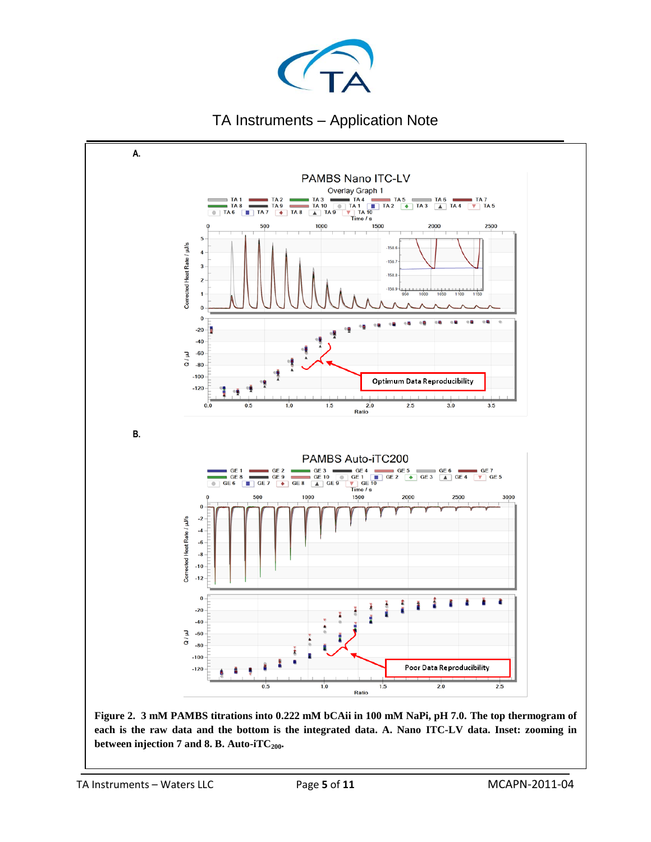

# TA Instruments – Application Note



**Figure 2. 3 mM PAMBS titrations into 0.222 mM bCAii in 100 mM NaPi, pH 7.0. The top thermogram of each is the raw data and the bottom is the integrated data. A. Nano ITC-LV data. Inset: zooming in between injection 7 and 8. B. Auto-iTC200.**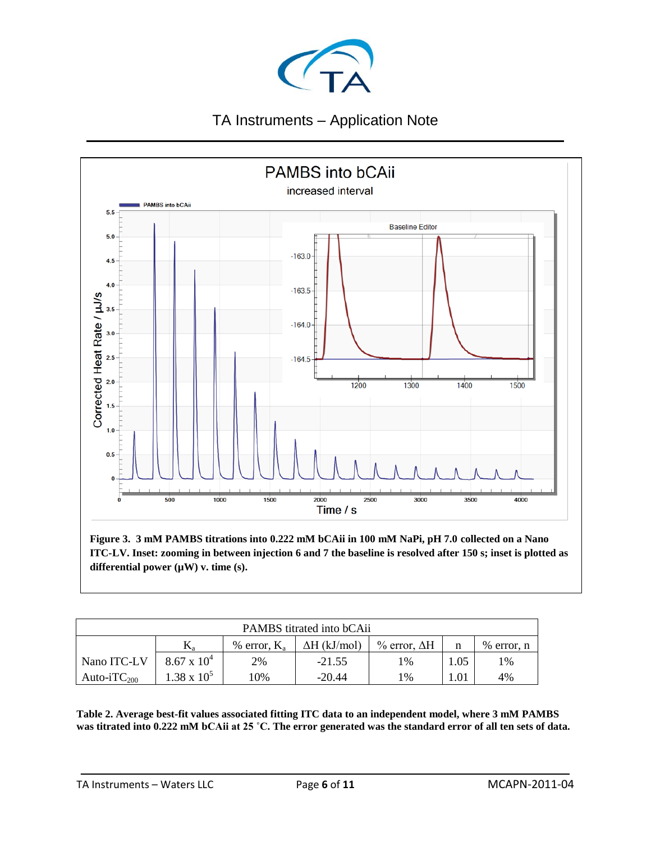



| PAMBS titrated into bCAii |                                                                                          |     |          |    |      |    |  |  |  |
|---------------------------|------------------------------------------------------------------------------------------|-----|----------|----|------|----|--|--|--|
|                           | $\Delta H$ (kJ/mol)<br>$\%$ error, $\Delta H$<br>$%$ error, $K_a$<br>$%$ error, n<br>IУa |     |          |    |      |    |  |  |  |
| Nano ITC-LV               | $8.67 \times 10^{4}$                                                                     | 2%  | $-21.55$ | 1% | 1.05 | 1% |  |  |  |
| Auto-iT $C_{200}$         | $1.38 \times 10^5$                                                                       | 10% | $-20.44$ | 1% | 1.01 | 4% |  |  |  |

**Table 2. Average best-fit values associated fitting ITC data to an independent model, where 3 mM PAMBS was titrated into 0.222 mM bCAii at 25 ˚C. The error generated was the standard error of all ten sets of data.**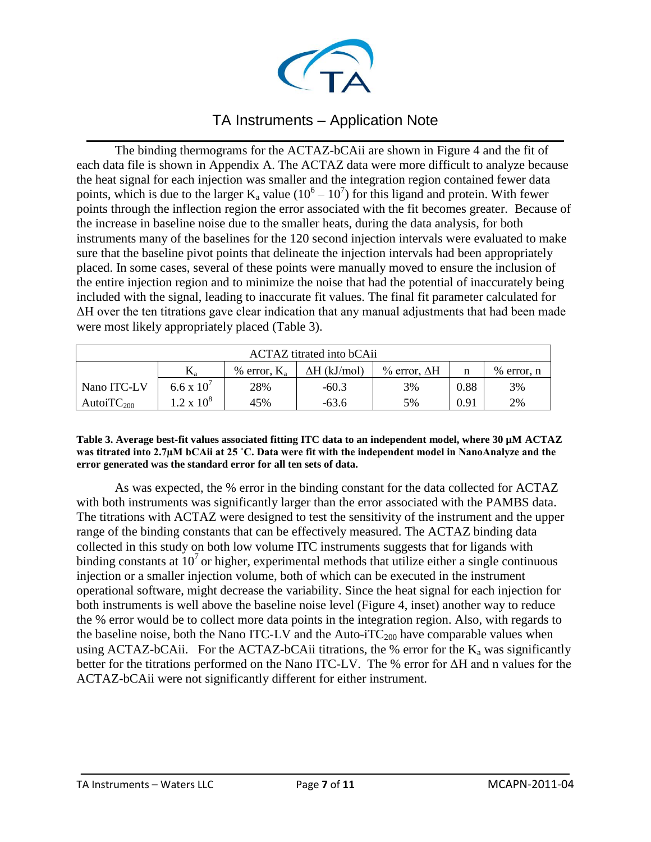

The binding thermograms for the ACTAZ-bCAii are shown in Figure 4 and the fit of each data file is shown in Appendix A. The ACTAZ data were more difficult to analyze because the heat signal for each injection was smaller and the integration region contained fewer data points, which is due to the larger  $K_a$  value  $(10^6 - 10^7)$  for this ligand and protein. With fewer points through the inflection region the error associated with the fit becomes greater. Because of the increase in baseline noise due to the smaller heats, during the data analysis, for both instruments many of the baselines for the 120 second injection intervals were evaluated to make sure that the baseline pivot points that delineate the injection intervals had been appropriately placed. In some cases, several of these points were manually moved to ensure the inclusion of the entire injection region and to minimize the noise that had the potential of inaccurately being included with the signal, leading to inaccurate fit values. The final fit parameter calculated for ΔH over the ten titrations gave clear indication that any manual adjustments that had been made were most likely appropriately placed (Table 3).

| ACTAZ titrated into bCAii |                                                                                         |     |         |    |      |    |  |  |  |
|---------------------------|-----------------------------------------------------------------------------------------|-----|---------|----|------|----|--|--|--|
|                           | $\Delta H$ (kJ/mol)<br>$\%$ error, $\Delta H$<br>$%$ error, $K_a$<br>$%$ error, n<br>Ŋа |     |         |    |      |    |  |  |  |
| Nano ITC-LV               | 6.6 x $10^{7}$                                                                          | 28% | $-60.3$ | 3% | 0.88 | 3% |  |  |  |
| AutoiT $C_{200}$          | $1.2 \times 10^8$                                                                       | 45% | $-63.6$ | 5% | 0.91 | 2% |  |  |  |

#### **Table 3. Average best-fit values associated fitting ITC data to an independent model, where 30 µM ACTAZ was titrated into 2.7µM bCAii at 25 ˚C. Data were fit with the independent model in NanoAnalyze and the error generated was the standard error for all ten sets of data.**

As was expected, the % error in the binding constant for the data collected for ACTAZ with both instruments was significantly larger than the error associated with the PAMBS data. The titrations with ACTAZ were designed to test the sensitivity of the instrument and the upper range of the binding constants that can be effectively measured. The ACTAZ binding data collected in this study on both low volume ITC instruments suggests that for ligands with binding constants at  $10<sup>7</sup>$  or higher, experimental methods that utilize either a single continuous injection or a smaller injection volume, both of which can be executed in the instrument operational software, might decrease the variability. Since the heat signal for each injection for both instruments is well above the baseline noise level (Figure 4, inset) another way to reduce the % error would be to collect more data points in the integration region. Also, with regards to the baseline noise, both the Nano ITC-LV and the Auto- $T_{200}$  have comparable values when using ACTAZ-bCAii. For the ACTAZ-bCAii titrations, the % error for the  $K_a$  was significantly better for the titrations performed on the Nano ITC-LV. The % error for ΔH and n values for the ACTAZ-bCAii were not significantly different for either instrument.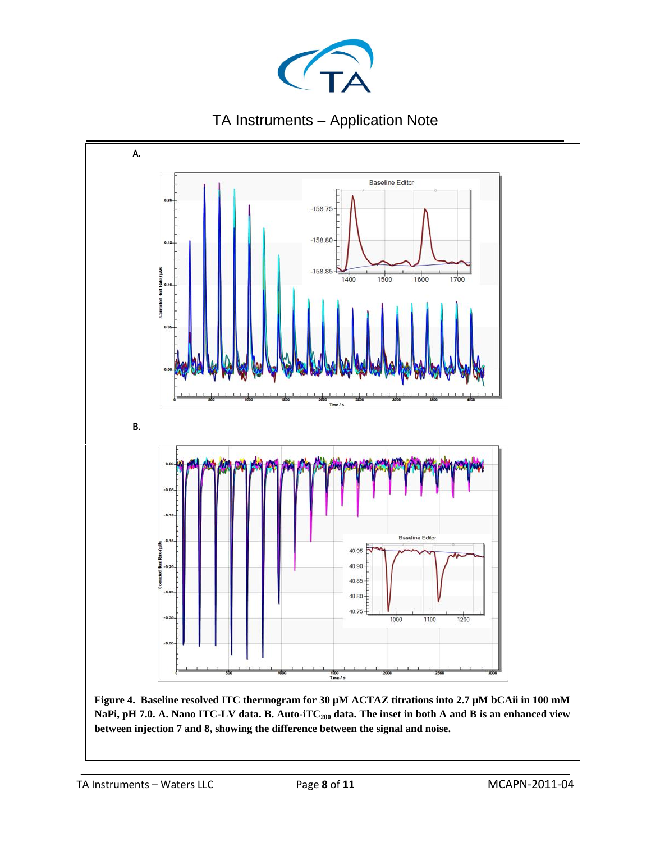

# TA Instruments – Application Note



**Figure 4. Baseline resolved ITC thermogram for 30 µM ACTAZ titrations into 2.7 µM bCAii in 100 mM NaPi, pH 7.0. A. Nano ITC-LV data. B. Auto-iTC<sup>200</sup> data. The inset in both A and B is an enhanced view between injection 7 and 8, showing the difference between the signal and noise.**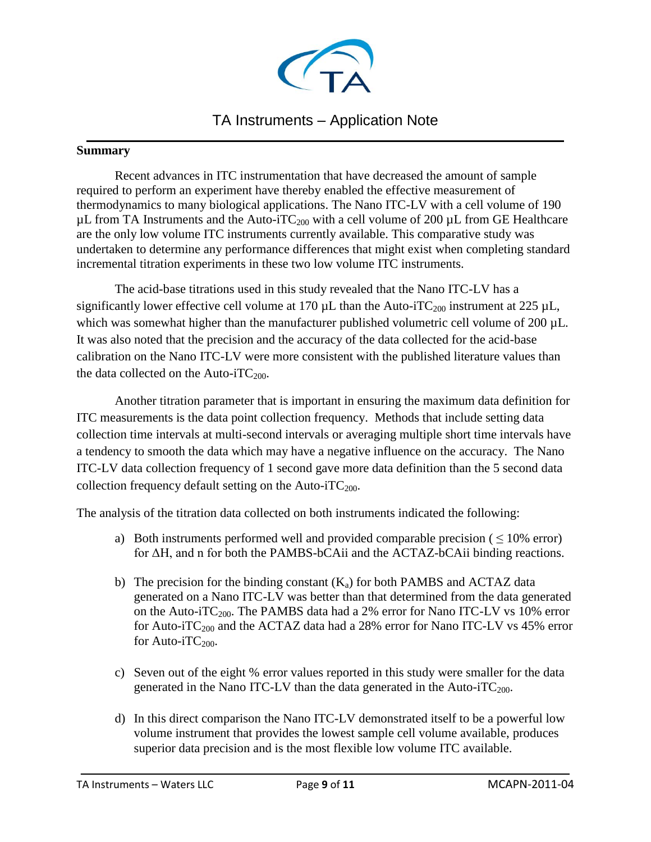

#### **Summary**

Recent advances in ITC instrumentation that have decreased the amount of sample required to perform an experiment have thereby enabled the effective measurement of thermodynamics to many biological applications. The Nano ITC-LV with a cell volume of 190  $\mu$ L from TA Instruments and the Auto-iTC<sub>200</sub> with a cell volume of 200  $\mu$ L from GE Healthcare are the only low volume ITC instruments currently available. This comparative study was undertaken to determine any performance differences that might exist when completing standard incremental titration experiments in these two low volume ITC instruments.

The acid-base titrations used in this study revealed that the Nano ITC-LV has a significantly lower effective cell volume at 170  $\mu$ L than the Auto-iTC<sub>200</sub> instrument at 225  $\mu$ L, which was somewhat higher than the manufacturer published volumetric cell volume of 200 µL. It was also noted that the precision and the accuracy of the data collected for the acid-base calibration on the Nano ITC-LV were more consistent with the published literature values than the data collected on the Auto-i $TC_{200}$ .

Another titration parameter that is important in ensuring the maximum data definition for ITC measurements is the data point collection frequency. Methods that include setting data collection time intervals at multi-second intervals or averaging multiple short time intervals have a tendency to smooth the data which may have a negative influence on the accuracy. The Nano ITC-LV data collection frequency of 1 second gave more data definition than the 5 second data collection frequency default setting on the Auto-i $TC_{200}$ .

The analysis of the titration data collected on both instruments indicated the following:

- a) Both instruments performed well and provided comparable precision ( $\leq 10\%$  error) for ΔH, and n for both the PAMBS-bCAii and the ACTAZ-bCAii binding reactions.
- b) The precision for the binding constant  $(K_a)$  for both PAMBS and ACTAZ data generated on a Nano ITC-LV was better than that determined from the data generated on the Auto-iTC<sub>200</sub>. The PAMBS data had a 2% error for Nano ITC-LV vs 10% error for Auto-iTC<sub>200</sub> and the ACTAZ data had a 28% error for Nano ITC-LV vs 45% error for Auto-iT $C_{200}$ .
- c) Seven out of the eight % error values reported in this study were smaller for the data generated in the Nano ITC-LV than the data generated in the Auto-iTC $_{200}$ .
- d) In this direct comparison the Nano ITC-LV demonstrated itself to be a powerful low volume instrument that provides the lowest sample cell volume available, produces superior data precision and is the most flexible low volume ITC available.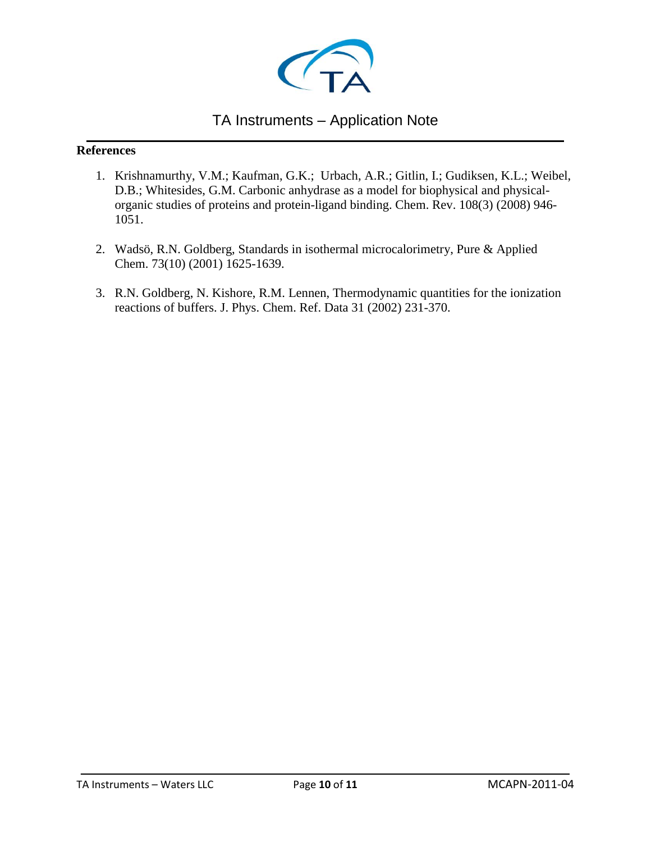

#### **References**

- 1. Krishnamurthy, V.M.; Kaufman, G.K.; Urbach, A.R.; Gitlin, I.; Gudiksen, K.L.; Weibel, D.B.; Whitesides, G.M. Carbonic anhydrase as a model for biophysical and physicalorganic studies of proteins and protein-ligand binding. Chem. Rev. 108(3) (2008) 946- 1051.
- 2. Wadsö, R.N. Goldberg, Standards in isothermal microcalorimetry, Pure & Applied Chem. 73(10) (2001) 1625-1639.
- 3. R.N. Goldberg, N. Kishore, R.M. Lennen, Thermodynamic quantities for the ionization reactions of buffers. J. Phys. Chem. Ref. Data 31 (2002) 231-370.